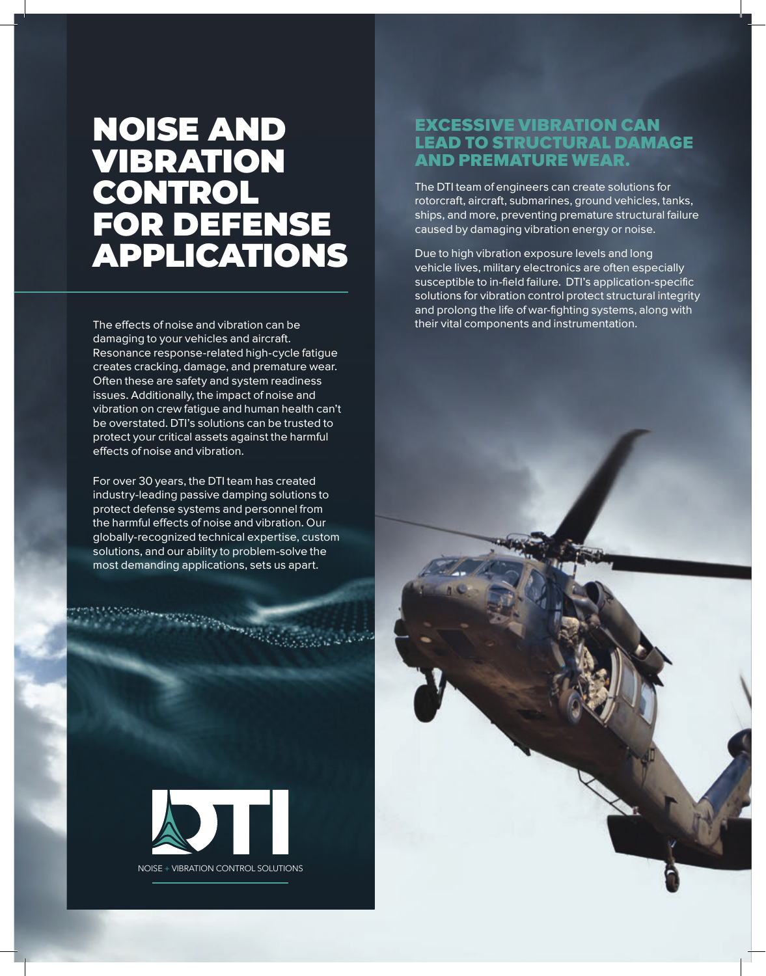## NOISE AND VIBRATION CONTROL FOR DEFENSE APPLICATIONS

The effects of noise and vibration can be damaging to your vehicles and aircraft. Resonance response-related high-cycle fatigue creates cracking, damage, and premature wear. Often these are safety and system readiness issues. Additionally, the impact of noise and vibration on crew fatigue and human health can't be overstated. DTI's solutions can be trusted to protect your critical assets against the harmful effects of noise and vibration.

For over 30 years, the DTI team has created industry-leading passive damping solutions to protect defense systems and personnel from the harmful effects of noise and vibration. Our globally-recognized technical expertise, custom solutions, and our ability to problem-solve the most demanding applications, sets us apart.



NOISE + VIBRATION CONTROL SOLUTIONS

#### EXCESSIVE VIBRATION CAN LEAD TO STRUCTURAL DAMAGE AND PREMATURE WEAR.

The DTI team of engineers can create solutions for rotorcraft, aircraft, submarines, ground vehicles, tanks, ships, and more, preventing premature structural failure caused by damaging vibration energy or noise.

Due to high vibration exposure levels and long vehicle lives, military electronics are often especially susceptible to in-field failure. DTI's application-specific solutions for vibration control protect structural integrity and prolong the life of war-fighting systems, along with their vital components and instrumentation.